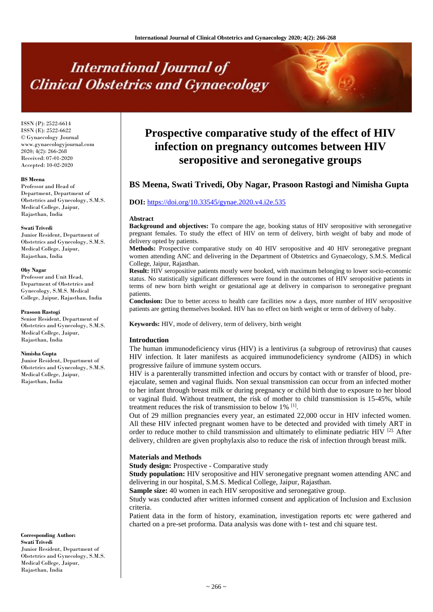# **International Journal of Clinical Obstetrics and Gynaecology**

ISSN (P): 2522-6614 ISSN (E): 2522-6622 © Gynaecology Journal www.gynaecologyjournal.com 2020; 4(2): 266-268 Received: 07-01-2020 Accepted: 10-02-2020

# **BS Meena**

Professor and Head of Department, Department of Obstetrics and Gynecology, S.M.S. Medical College, Jaipur, Rajasthan, India

#### **Swati Trivedi**

Junior Resident, Department of Obstetrics and Gynecology, S.M.S. Medical College, Jaipur, Rajasthan, India

#### **Oby Nagar**

Professor and Unit Head, Department of Obstetrics and Gynecology, S.M.S. Medical College, Jaipur, Rajasthan, India

#### **Prasoon Rastogi**

Senior Resident, Department of Obstetrics and Gynecology, S.M.S. Medical College, Jaipur, Rajasthan, India

#### **Nimisha Gupta**

Junior Resident, Department of Obstetrics and Gynecology, S.M.S. Medical College, Jaipur, Rajasthan, India

**Corresponding Author: Swati Trivedi** Junior Resident, Department of Obstetrics and Gynecology, S.M.S. Medical College, Jaipur, Rajasthan, India

# **Prospective comparative study of the effect of HIV infection on pregnancy outcomes between HIV seropositive and seronegative groups**

# **BS Meena, Swati Trivedi, Oby Nagar, Prasoon Rastogi and Nimisha Gupta**

# **DOI:** <https://doi.org/10.33545/gynae.2020.v4.i2e.535>

#### **Abstract**

**Background and objectives:** To compare the age, booking status of HIV seropositive with seronegative pregnant females. To study the effect of HIV on term of delivery, birth weight of baby and mode of delivery opted by patients.

**Methods:** Prospective comparative study on 40 HIV seropositive and 40 HIV seronegative pregnant women attending ANC and delivering in the Department of Obstetrics and Gynaecology, S.M.S. Medical College, Jaipur, Rajasthan.

**Result:** HIV seropositive patients mostly were booked, with maximum belonging to lower socio-economic status. No statistically significant differences were found in the outcomes of HIV seropositive patients in terms of new born birth weight or gestational age at delivery in comparison to seronegative pregnant patients.

**Conclusion:** Due to better access to health care facilities now a days, more number of HIV seropositive patients are getting themselves booked. HIV has no effect on birth weight or term of delivery of baby.

**Keywords:** HIV, mode of delivery, term of delivery, birth weight

# **Introduction**

The human immunodeficiency virus (HIV) is a lentivirus (a subgroup of retrovirus) that causes HIV infection. It later manifests as acquired immunodeficiency syndrome (AIDS) in which progressive failure of immune system occurs.

HIV is a parenterally transmitted infection and occurs by contact with or transfer of blood, preejaculate, semen and vaginal fluids. Non sexual transmission can occur from an infected mother to her infant through breast milk or during pregnancy or child birth due to exposure to her blood or vaginal fluid. Without treatment, the risk of mother to child transmission is 15-45%, while treatment reduces the risk of transmission to below 1% [1].

Out of 29 million pregnancies every year, an estimated 22,000 occur in HIV infected women. All these HIV infected pregnant women have to be detected and provided with timely ART in order to reduce mother to child transmission and ultimately to eliminate pediatric HIV  $^{[2]}$ . After delivery, children are given prophylaxis also to reduce the risk of infection through breast milk.

### **Materials and Methods**

**Study design:** Prospective - Comparative study

**Study population:** HIV seropositive and HIV seronegative pregnant women attending ANC and delivering in our hospital, S.M.S. Medical College, Jaipur, Rajasthan.

**Sample size:** 40 women in each HIV seropositive and seronegative group.

Study was conducted after written informed consent and application of Inclusion and Exclusion criteria.

Patient data in the form of history, examination, investigation reports etc were gathered and charted on a pre-set proforma. Data analysis was done with t- test and chi square test.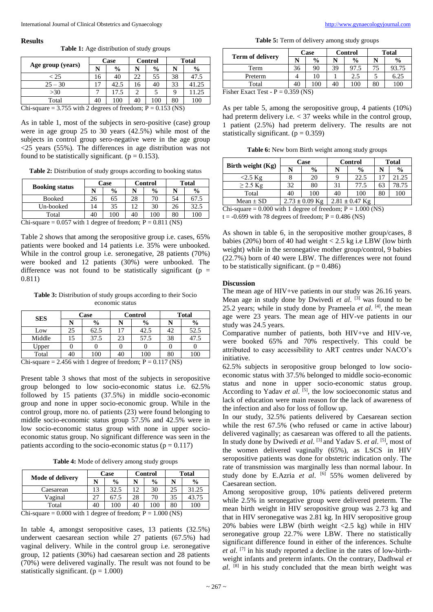#### **Results**

**Table 1:** Age distribution of study groups

| Case |               | <b>Control</b> |               | Total |                                                                             |
|------|---------------|----------------|---------------|-------|-----------------------------------------------------------------------------|
| N    | $\frac{0}{0}$ | N              | $\frac{6}{9}$ |       | $\frac{0}{0}$                                                               |
| 16   | 40            | 22             | 55            | 38    | 47.5                                                                        |
|      | 42.5          | 16             | 40            | 33    | 41.25                                                                       |
|      | 17.5          | 2              |               |       | 11.25                                                                       |
| 40   | 100           | 40             | 100           | 80    | 100                                                                         |
|      |               |                |               |       | $C_{\rm bi}$ cause $= 2.755$ with $2$ decrease of freedom: $D = 0.152$ (NP) |

Chi-square = 3.755 with 2 degrees of freedom;  $P = 0.153$  (NS)

As in table 1, most of the subjects in sero-positive (case) group were in age group 25 to 30 years (42.5%) while most of the subjects in control group sero-negative were in the age group  $\langle 25 \rangle$  years (55%). The differences in age distribution was not found to be statistically significant. ( $p = 0.153$ ).

Table 2: Distribution of study groups according to booking status

| <b>Booking status</b> | Case           |               |    | <b>Control</b> | <b>Total</b> |               |
|-----------------------|----------------|---------------|----|----------------|--------------|---------------|
|                       |                | $\frac{0}{0}$ |    | $\frac{0}{0}$  | N            | $\frac{0}{0}$ |
| <b>Booked</b>         | 26             | 65            | 28 | 70             | 54           | 67.5          |
| Un-booked             | $\overline{4}$ | 35            | 12 | 30             | 26           | 32.5          |
| Total                 | 40             | 100           | 40 | 100            | 80           | 100           |

Chi-square =  $0.057$  with 1 degree of freedom;  $P = 0.811$  (NS)

Table 2 shows that among the seropositive group i.e. cases, 65% patients were booked and 14 patients i.e. 35% were unbooked. While in the control group i.e. seronegative, 28 patients (70%) were booked and 12 patients (30%) were unbooked. The difference was not found to be statistically significant ( $p =$ 0.811)

**Table 3:** Distribution of study groups according to their Socio economic status

| <b>SES</b>                                                             |    | Case          |    | Control       | <b>Total</b> |               |  |
|------------------------------------------------------------------------|----|---------------|----|---------------|--------------|---------------|--|
|                                                                        |    | $\frac{0}{0}$ |    | $\frac{0}{0}$ |              | $\frac{6}{9}$ |  |
| Low                                                                    | 25 | 62.5          |    | 42.5          | 42           | 52.5          |  |
| Middle                                                                 | 15 | 37.5          | 23 | 57.5          | 38           | 47.5          |  |
| Upper                                                                  |    |               |    |               |              |               |  |
| Total                                                                  | 40 | 100           | 40 | 100           | 80           | 100           |  |
| $Chi\text{-}square = 2.456$ with 1 degree of freedom: $D = 0.117$ (NS) |    |               |    |               |              |               |  |

Chi-square  $= 2.456$  with 1 degree of freedom;  $P = 0.117$  (NS)

Present table 3 shows that most of the subjects in seropositive group belonged to low socio-economic status i.e. 62.5% followed by 15 patients (37.5%) in middle socio-economic group and none in upper socio-economic group. While in the control group, more no. of patients (23) were found belonging to middle socio-economic status group 57.5% and 42.5% were in low socio-economic status group with none in upper socioeconomic status group. No significant difference was seen in the patients according to the socio-economic status ( $p = 0.117$ )

**Table 4:** Mode of delivery among study groups

|                                                      | Case |               |    | Control       | <b>Total</b> |               |  |
|------------------------------------------------------|------|---------------|----|---------------|--------------|---------------|--|
| Mode of delivery                                     |      | $\frac{0}{0}$ |    | $\frac{0}{0}$ |              | $\frac{0}{0}$ |  |
| Caesarean                                            | 13   | 32.5          | 12 | 30            | 25           | 31.25         |  |
| Vaginal                                              | 27   | 67.5          | 28 | 70            | 35           | 43.75         |  |
| Total                                                | 40   | 100           | 40 | 100           | 80           | 100           |  |
| $Chi$ square $= 0.000$ with 1 degree of freedom: $D$ |      |               |    | 1.000 $(NS)$  |              |               |  |

Chi-square =  $0.000$  with 1 degree of freedom;  $P = 1.000$  (NS)

In table 4, amongst seropositive cases, 13 patients (32.5%) underwent caesarean section while 27 patients (67.5%) had vaginal delivery. While in the control group i.e. seronegative group, 12 patients (30%) had caesarean section and 28 patients (70%) were delivered vaginally. The result was not found to be statistically significant.  $(p = 1.000)$ 

**Table 5:** Term of delivery among study groups

|                                                          | Case |               |    | <b>Control</b> | Total |               |  |
|----------------------------------------------------------|------|---------------|----|----------------|-------|---------------|--|
| <b>Term of delivery</b>                                  |      | $\frac{0}{0}$ |    | $\frac{0}{0}$  |       | $\frac{0}{0}$ |  |
| Term                                                     | 36   | 90            | 39 | 97.5           |       | 93.75         |  |
| Preterm                                                  |      | 10            |    | 2.5            |       | 6.25          |  |
| Total                                                    | 40   | 100           | 40 | 100            | 80    | 100           |  |
| $P'$ 1 $P'$ $\rightarrow$ $P$ $\rightarrow$<br>0.250.010 |      |               |    |                |       |               |  |

Fisher Exact Test -  $P = 0.359$  (NS)

As per table 5, among the seropositive group, 4 patients (10%) had preterm delivery i.e.  $\lt 37$  weeks while in the control group, 1 patient (2.5%) had preterm delivery. The results are not statistically significant.  $(p = 0.359)$ 

**Table 6:** New born Birth weight among study groups

| Birth weight (Kg) | Case               |               |    | <b>Control</b>     | <b>Total</b> |               |  |  |
|-------------------|--------------------|---------------|----|--------------------|--------------|---------------|--|--|
|                   |                    | $\frac{6}{9}$ |    | $\frac{6}{9}$      |              | $\frac{0}{0}$ |  |  |
| $<$ 2.5 Kg        |                    | 20            |    | 22.5               |              | 21.25         |  |  |
| $\geq$ 2.5 Kg     | 32                 | 80            | 31 | 77.5               | 63           | 78.75         |  |  |
| Total             |                    | 100           | 40 | 100                | 80           | 100           |  |  |
| Mean $\pm$ SD     | $2.73 \pm 0.09$ Kg |               |    | $2.81 \pm 0.47$ Kg |              |               |  |  |
| $\sim$ $\sim$     |                    |               |    |                    |              |               |  |  |

Chi-square =  $0.000$  with 1 degree of freedom;  $P = 1.000$  (NS)  $t = -0.699$  with 78 degrees of freedom; P = 0.486 (NS)

As shown in table 6, in the seropositive mother group/cases, 8 babies (20%) born of 40 had weight < 2.5 kg i.e LBW (low birth weight) while in the seronegative mother group/control, 9 babies (22.7%) born of 40 were LBW. The differences were not found to be statistically significant.  $(p = 0.486)$ 

#### **Discussion**

The mean age of HIV+ve patients in our study was 26.16 years. Mean age in study done by Dwivedi *et al*. [3] was found to be 25.2 years; while in study done by Prameela *et al*. [4], the mean age were 23 years. The mean age of HIV-ve patients in our study was 24.5 years.

Comparative number of patients, both HIV+ve and HIV-ve, were booked 65% and 70% respectively. This could be attributed to easy accessibility to ART centres under NACO's initiative.

62.5% subjects in seropositive group belonged to low socioeconomic status with 37.5% belonged to middle socio-economic status and none in upper socio-economic status group. According to Yadav et al. <sup>[5]</sup>, the low socioeconomic status and lack of education were main reason for the lack of awareness of the infection and also for loss of follow up.

In our study, 32.5% patients delivered by Caesarean section while the rest 67.5% (who refused or came in active labour) delivered vaginally; as caesarean was offered to all the patients. In study done by Dwivedi *et al*. [3] and Yadav S. *et al*. [5], most of the women delivered vaginally (65%), as LSCS in HIV seropositive patients was done for obstetric indication only. The rate of transmission was marginally less than normal labour. In study done by E.Azria *et al*. [6] 55% women delivered by Caesarean section.

Among seropositive group, 10% patients delivered preterm while 2.5% in seronegative group were delivered preterm. The mean birth weight in HIV seropositive group was 2.73 kg and that in HIV seronegative was 2.81 kg. In HIV seropositive group 20% babies were LBW (birth weight <2.5 kg) while in HIV seronegative group 22.7% were LBW. There no statistically significant difference found in either of the inferences. Schulte *et al*. [7] in his study reported a decline in the rates of low-birthweight infants and preterm infants. On the contrary, Dadhwal *et al*. [8] in his study concluded that the mean birth weight was